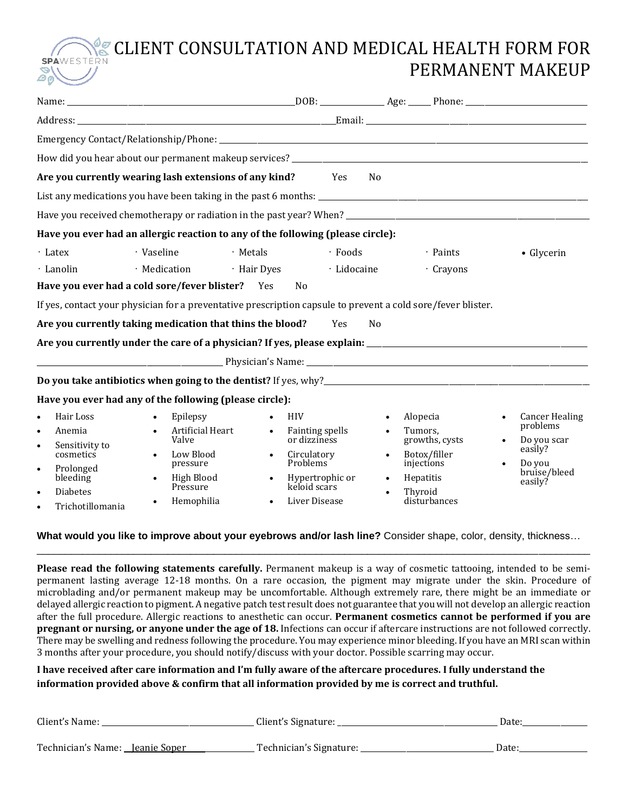## CLIENT CONSULTATION AND MEDICAL HEALTH FORM FOR **SPA** PERMANENT MAKEUP

|                                                                                                                                                                                                  | How did you hear about our permanent makeup services?<br>The manufacture of the content of the content of the content of the content of the content of the content of t                                                                                                 |                                                                                                                                                                                                            |                                                                                                                                                                 |                                                                                                  |
|--------------------------------------------------------------------------------------------------------------------------------------------------------------------------------------------------|-------------------------------------------------------------------------------------------------------------------------------------------------------------------------------------------------------------------------------------------------------------------------|------------------------------------------------------------------------------------------------------------------------------------------------------------------------------------------------------------|-----------------------------------------------------------------------------------------------------------------------------------------------------------------|--------------------------------------------------------------------------------------------------|
|                                                                                                                                                                                                  | Are you currently wearing lash extensions of any kind?                                                                                                                                                                                                                  | <b>Example SE</b>                                                                                                                                                                                          | N <sub>0</sub>                                                                                                                                                  |                                                                                                  |
|                                                                                                                                                                                                  |                                                                                                                                                                                                                                                                         |                                                                                                                                                                                                            |                                                                                                                                                                 |                                                                                                  |
|                                                                                                                                                                                                  |                                                                                                                                                                                                                                                                         |                                                                                                                                                                                                            |                                                                                                                                                                 |                                                                                                  |
|                                                                                                                                                                                                  | Have you ever had an allergic reaction to any of the following (please circle):                                                                                                                                                                                         |                                                                                                                                                                                                            |                                                                                                                                                                 |                                                                                                  |
| $\cdot$ Latex<br>· Lanolin                                                                                                                                                                       | · Vaseline<br>· Metals<br>· Medication<br>Have you ever had a cold sore/fever blister? Yes<br>If yes, contact your physician for a preventative prescription capsule to prevent a cold sore/fever blister.<br>Are you currently taking medication that thins the blood? | $\cdot$ Foods<br>· Hair Dyes<br>· Lidocaine<br>N <sub>0</sub><br>Yes                                                                                                                                       | · Paints<br>· Crayons<br>N <sub>0</sub>                                                                                                                         | • Glycerin                                                                                       |
|                                                                                                                                                                                                  | Have you ever had any of the following (please circle):                                                                                                                                                                                                                 |                                                                                                                                                                                                            |                                                                                                                                                                 |                                                                                                  |
| Hair Loss<br>$\bullet$<br>Anemia<br>$\bullet$<br>Sensitivity to<br>$\bullet$<br>cosmetics<br>Prolonged<br>$\bullet$<br>bleeding<br><b>Diabetes</b><br>$\bullet$<br>Trichotillomania<br>$\bullet$ | Epilepsy<br>$\bullet$<br>Artificial Heart<br>$\bullet$<br>Valve<br>Low Blood<br>pressure<br>High Blood<br>Pressure<br>Hemophilia<br>$\bullet$                                                                                                                           | <b>HIV</b><br>$\bullet$<br>Fainting spells<br>$\bullet$<br>or dizziness<br>Circulatory<br>$\bullet$<br>Problems <sup>1</sup><br>Hypertrophic or<br>$\bullet$<br>keloid scars<br>Liver Disease<br>$\bullet$ | Alopecia<br>$\bullet$<br>Tumors,<br>$\bullet$<br>growths, cysts<br>Botox/filler<br>injections<br>Hepatitis<br>$\bullet$<br>Thyroid<br>$\bullet$<br>disturbances | <b>Cancer Healing</b><br>problems<br>Do you scar<br>easily?<br>Do you<br>bruise/bleed<br>easily? |

### **What would you like to improve about your eyebrows and/or lash line?** Consider shape, color, density, thickness… \_\_\_\_\_\_\_\_\_\_\_\_\_\_\_\_\_\_\_\_\_\_\_\_\_\_\_\_\_\_\_\_\_\_\_\_\_\_\_\_\_\_\_\_\_\_\_\_\_\_\_\_\_\_\_\_\_\_\_\_\_\_\_\_\_\_\_\_\_\_\_\_\_\_\_\_\_\_\_\_\_\_\_\_\_\_\_\_\_\_\_\_\_\_\_\_\_

**Please read the following statements carefully.** Permanent makeup is a way of cosmetic tattooing, intended to be semipermanent lasting average 12-18 months. On a rare occasion, the pigment may migrate under the skin. Procedure of microblading and/or permanent makeup may be uncomfortable. Although extremely rare, there might be an immediate or delayed allergic reaction to pigment. A negative patch test result does not guarantee that you will not develop an allergic reaction after the full procedure. Allergic reactions to anesthetic can occur. **Permanent cosmetics cannot be performed if you are pregnant or nursing, or anyone under the age of 18.** Infections can occur if aftercare instructions are not followed correctly. There may be swelling and redness following the procedure. You may experience minor bleeding. If you have an MRI scan within 3 months after your procedure, you should notify/discuss with your doctor. Possible scarring may occur.

## I have received after care information and I'm fully aware of the aftercare procedures. I fully understand the **information provided above & confirm that all information provided by me is correct and truthful.**

| Client's Name:                         | Client's Signature:     | Date: |
|----------------------------------------|-------------------------|-------|
| Technician's Name: <u>Jeanie Soper</u> | Technician's Signature: | Date: |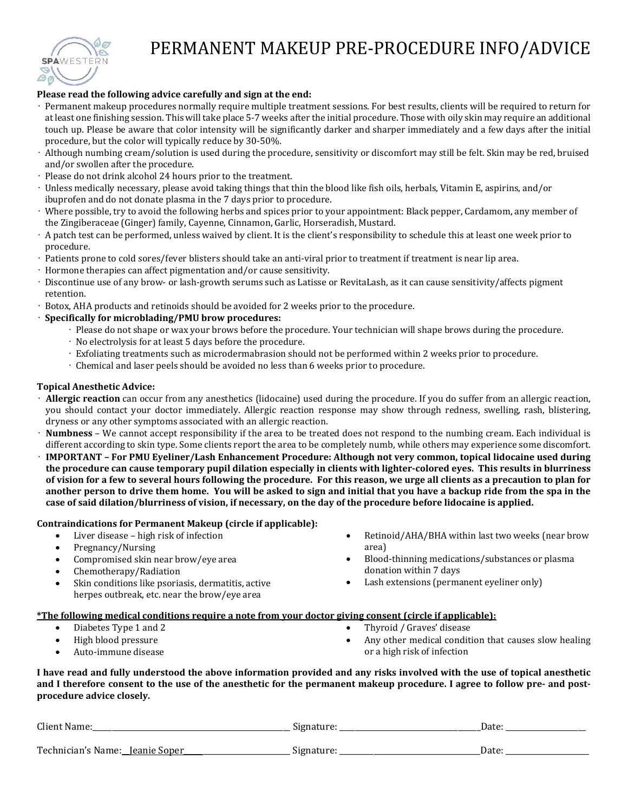

# PERMANENT MAKEUP PRE-PROCEDURE INFO/ADVICE

#### **Please read the following advice carefully and sign at the end:**

- Permanent makeup procedures normally require multiple treatment sessions. For best results, clients will be required to return for at least one finishing session. This will take place 5-7 weeks after the initial procedure. Those with oily skin may require an additional touch up. Please be aware that color intensity will be significantly darker and sharper immediately and a few days after the initial procedure, but the color will typically reduce by 30-50%.
- Although numbing cream/solution is used during the procedure, sensitivity or discomfort may still be felt. Skin may be red, bruised and/or swollen after the procedure.
- Please do not drink alcohol 24 hours prior to the treatment.
- Unless medically necessary, please avoid taking things that thin the blood like fish oils, herbals, Vitamin E, aspirins, and/or ibuprofen and do not donate plasma in the 7 days prior to procedure.
- Where possible, try to avoid the following herbs and spices prior to your appointment: Black pepper, Cardamom, any member of the Zingiberaceae (Ginger) family, Cayenne, Cinnamon, Garlic, Horseradish, Mustard.
- A patch test can be performed, unless waived by client. It is the client's responsibility to schedule this at least one week prior to procedure.
- Patients prone to cold sores/fever blisters should take an anti-viral prior to treatment if treatment is near lip area.
- Hormone therapies can affect pigmentation and/or cause sensitivity.
- Discontinue use of any brow- or lash-growth serums such as Latisse or RevitaLash, as it can cause sensitivity/affects pigment retention.
- Botox, AHA products and retinoids should be avoided for 2 weeks prior to the procedure.
- **Specifically for microblading/PMU brow procedures:**
	- Please do not shape or wax your brows before the procedure. Your technician will shape brows during the procedure.
	- No electrolysis for at least 5 days before the procedure.
	- Exfoliating treatments such as microdermabrasion should not be performed within 2 weeks prior to procedure.
	- Chemical and laser peels should be avoided no less than 6 weeks prior to procedure.

#### **Topical Anesthetic Advice:**

- **Allergic reaction** can occur from any anesthetics (lidocaine) used during the procedure. If you do suffer from an allergic reaction, you should contact your doctor immediately. Allergic reaction response may show through redness, swelling, rash, blistering, dryness or any other symptoms associated with an allergic reaction.
- **Numbness** We cannot accept responsibility if the area to be treated does not respond to the numbing cream. Each individual is different according to skin type. Some clients report the area to be completely numb, while others may experience some discomfort.
- **IMPORTANT – For PMU Eyeliner/Lash Enhancement Procedure: Although not very common, topical lidocaine used during** the procedure can cause temporary pupil dilation especially in clients with lighter-colored eyes. This results in blurriness of vision for a few to several hours following the procedure. For this reason, we urge all clients as a precaution to plan for another person to drive them home. You will be asked to sign and initial that you have a backup ride from the spa in the case of said dilation/blurriness of vision, if necessary, on the day of the procedure before lidocaine is applied.

#### **Contraindications for Permanent Makeup (circle if applicable):**

- Liver disease high risk of infection
- Pregnancy/Nursing
- Compromised skin near brow/eye area
- Chemotherapy/Radiation
- Skin conditions like psoriasis, dermatitis, active herpes outbreak, etc. near the brow/eye area
- Retinoid/AHA/BHA within last two weeks (near brow area)
- Blood-thinning medications/substances or plasma donation within 7 days
- Lash extensions (permanent eyeliner only)

#### **\*The following medical conditions require a note from your doctor giving consent (circle if applicable):**

- Diabetes Type 1 and 2
- High blood pressure
- Auto-immune disease
- Thyroid / Graves' disease
- Any other medical condition that causes slow healing or a high risk of infection

I have read and fully understood the above information provided and any risks involved with the use of topical anesthetic and I therefore consent to the use of the anesthetic for the permanent makeup procedure. I agree to follow pre- and post**procedure advice closely.**

| Client Name                     | signature: | Date |
|---------------------------------|------------|------|
| Technician's Name: Jeanie Soper | Signature: | Date |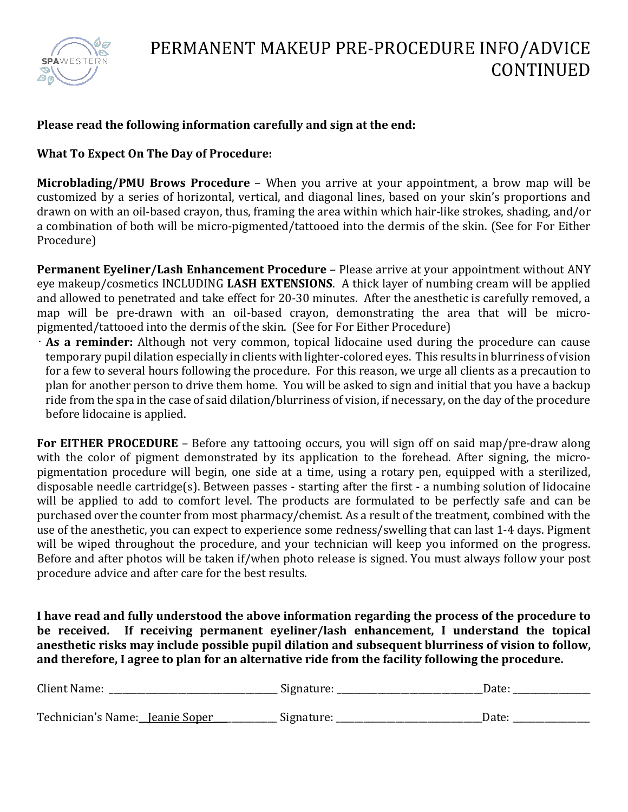

## **Please read the following information carefully and sign at the end:**

## **What To Expect On The Day of Procedure:**

**Microblading/PMU Brows Procedure** – When you arrive at your appointment, a brow map will be customized by a series of horizontal, vertical, and diagonal lines, based on your skin's proportions and drawn on with an oil-based crayon, thus, framing the area within which hair-like strokes, shading, and/or a combination of both will be micro-pigmented/tattooed into the dermis of the skin. (See for For Either Procedure)

**Permanent Eyeliner/Lash Enhancement Procedure** – Please arrive at your appointment without ANY eye makeup/cosmetics INCLUDING **LASH EXTENSIONS**. A thick layer of numbing cream will be applied and allowed to penetrated and take effect for 20-30 minutes. After the anesthetic is carefully removed, a map will be pre-drawn with an oil-based crayon, demonstrating the area that will be micropigmented/tattooed into the dermis of the skin. (See for For Either Procedure)

• **As a reminder:** Although not very common, topical lidocaine used during the procedure can cause temporary pupil dilation especially in clients with lighter-colored eyes. This results in blurriness of vision for a few to several hours following the procedure. For this reason, we urge all clients as a precaution to plan for another person to drive them home. You will be asked to sign and initial that you have a backup ride from the spa in the case of said dilation/blurriness of vision, if necessary, on the day of the procedure before lidocaine is applied.

**For EITHER PROCEDURE** – Before any tattooing occurs, you will sign off on said map/pre-draw along with the color of pigment demonstrated by its application to the forehead. After signing, the micropigmentation procedure will begin, one side at a time, using a rotary pen, equipped with a sterilized, disposable needle cartridge(s). Between passes - starting after the first - a numbing solution of lidocaine will be applied to add to comfort level. The products are formulated to be perfectly safe and can be purchased over the counter from most pharmacy/chemist. As a result of the treatment, combined with the use of the anesthetic, you can expect to experience some redness/swelling that can last 1-4 days. Pigment will be wiped throughout the procedure, and your technician will keep you informed on the progress. Before and after photos will be taken if/when photo release is signed. You must always follow your post procedure advice and after care for the best results.

**I have read and fully understood the above information regarding the process of the procedure to be received. If receiving permanent eyeliner/lash enhancement, I understand the topical anesthetic risks may include possible pupil dilation and subsequent blurriness of vision to follow, and therefore, I agree to plan for an alternative ride from the facility following the procedure.**

| Client Name:                    | Signature: | Date: |
|---------------------------------|------------|-------|
| Technician's Name: Jeanie Soper | Signature: | Date: |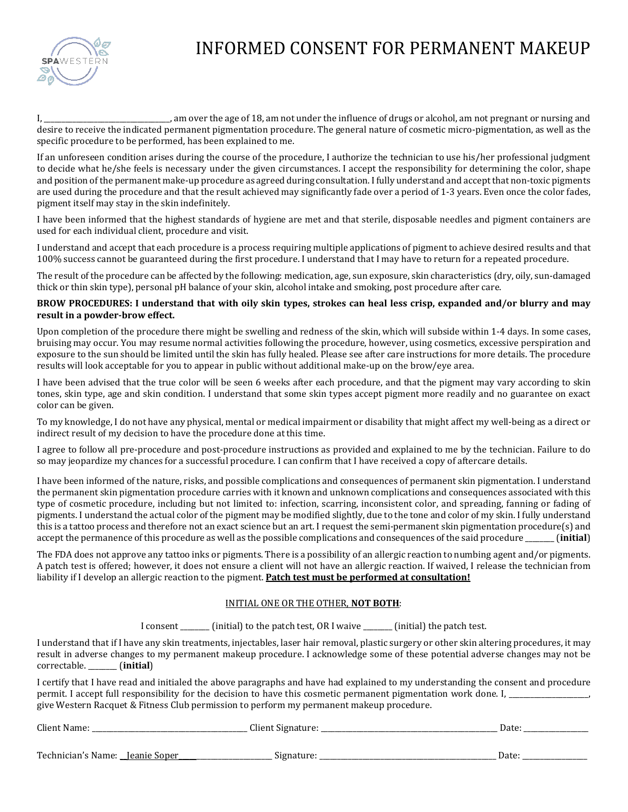

# INFORMED CONSENT FOR PERMANENT MAKEUP

I, \_\_\_\_\_\_\_\_\_\_\_\_\_\_\_\_\_\_\_\_\_\_\_\_\_\_\_\_\_\_\_\_\_\_\_, am over the age of 18, am not under the influence of drugs or alcohol, am not pregnant or nursing and desire to receive the indicated permanent pigmentation procedure. The general nature of cosmetic micro-pigmentation, as well as the specific procedure to be performed, has been explained to me.

If an unforeseen condition arises during the course of the procedure, I authorize the technician to use his/her professional judgment to decide what he/she feels is necessary under the given circumstances. I accept the responsibility for determining the color, shape and position of the permanent make-up procedure as agreed during consultation. I fully understand and accept that non-toxic pigments are used during the procedure and that the result achieved may significantly fade over a period of 1-3 years. Even once the color fades, pigment itself may stay in the skin indefinitely.

I have been informed that the highest standards of hygiene are met and that sterile, disposable needles and pigment containers are used for each individual client, procedure and visit.

I understand and accept that each procedure is a process requiring multiple applications of pigment to achieve desired results and that 100% success cannot be guaranteed during the first procedure. I understand that I may have to return for a repeated procedure.

The result of the procedure can be affected by the following: medication, age, sun exposure, skin characteristics (dry, oily, sun-damaged thick or thin skin type), personal pH balance of your skin, alcohol intake and smoking, post procedure after care.

#### BROW PROCEDURES: I understand that with oily skin types, strokes can heal less crisp, expanded and/or blurry and may **result in a powder-brow effect.**

Upon completion of the procedure there might be swelling and redness of the skin, which will subside within 1-4 days. In some cases, bruising may occur. You may resume normal activities following the procedure, however, using cosmetics, excessive perspiration and exposure to the sun should be limited until the skin has fully healed. Please see after care instructions for more details. The procedure results will look acceptable for you to appear in public without additional make-up on the brow/eye area.

I have been advised that the true color will be seen 6 weeks after each procedure, and that the pigment may vary according to skin tones, skin type, age and skin condition. I understand that some skin types accept pigment more readily and no guarantee on exact color can be given.

To my knowledge, I do not have any physical, mental or medical impairment or disability that might affect my well-being as a direct or indirect result of my decision to have the procedure done at this time.

I agree to follow all pre-procedure and post-procedure instructions as provided and explained to me by the technician. Failure to do so may jeopardize my chances for a successful procedure. I can confirm that I have received a copy of aftercare details.

I have been informed of the nature, risks, and possible complications and consequences of permanent skin pigmentation. I understand the permanent skin pigmentation procedure carries with it known and unknown complications and consequences associated with this type of cosmetic procedure, including but not limited to: infection, scarring, inconsistent color, and spreading, fanning or fading of pigments. I understand the actual color of the pigment may be modified slightly, due to the tone and color of my skin. I fully understand this is a tattoo process and therefore not an exact science but an art. I request the semi-permanent skin pigmentation procedure(s) and accept the permanence of this procedure as well as the possible complications and consequences of the said procedure \_\_\_\_\_\_\_\_ (**initial**)

The FDA does not approve any tattoo inks or pigments. There is a possibility of an allergic reaction to numbing agent and/or pigments. A patch test is offered; however, it does not ensure a client will not have an allergic reaction. If waived, I release the technician from liability if I develop an allergic reaction to the pigment. **Patch test must be performed at consultation!**

### INITIAL ONE OR THE OTHER, **NOT BOTH**:

I consent \_\_\_\_\_\_\_ (initial) to the patch test, OR I waive \_\_\_\_\_\_\_ (initial) the patch test.

I understand that if I have any skin treatments, injectables, laser hair removal, plastic surgery or other skin altering procedures, it may result in adverse changes to my permanent makeup procedure. I acknowledge some of these potential adverse changes may not be correctable. \_\_\_\_\_\_\_\_ (**initial**)

I certify that I have read and initialed the above paragraphs and have had explained to my understanding the consent and procedure permit. I accept full responsibility for the decision to have this cosmetic permanent pigmentation work done. I, \_\_\_\_\_\_\_\_\_\_\_\_\_\_\_\_ give Western Racquet & Fitness Club permission to perform my permanent makeup procedure.

| Client Name.<br>____ | $\sim$<br>Lient -<br>t<br>* Signatu.<br>$\cdots$ | $\lambda$<br>Date: |
|----------------------|--------------------------------------------------|--------------------|
|                      |                                                  |                    |

Technician's Name: \_\_Jeanie Soper\_\_\_\_\_\_\_\_\_\_\_\_\_\_\_\_\_\_\_\_\_\_\_\_\_\_ Signature: \_\_\_\_\_\_\_\_\_\_\_\_\_\_\_\_\_\_\_\_\_\_\_\_\_\_\_\_\_\_\_\_\_\_\_\_\_\_\_\_\_\_\_\_\_\_\_\_\_ Date: \_\_\_\_\_\_\_\_\_\_\_\_\_\_\_\_\_\_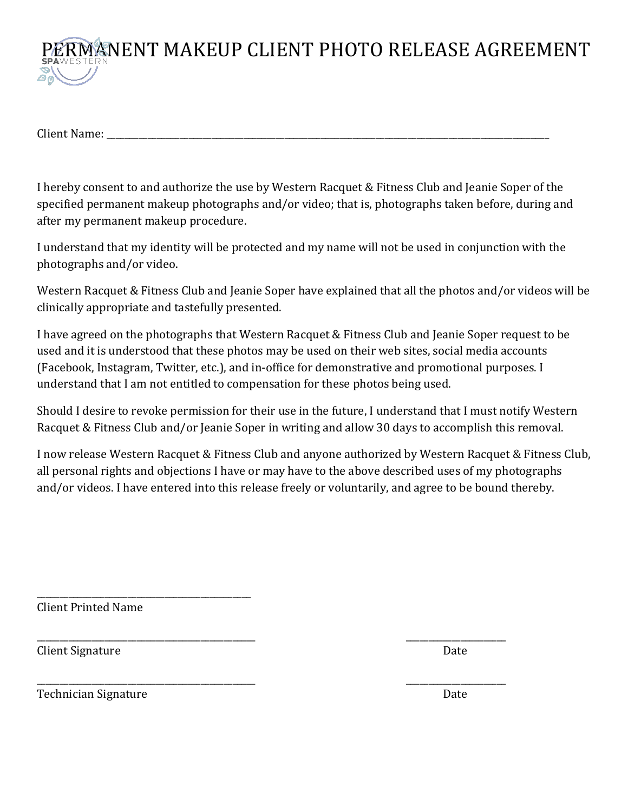

Client Name: \_\_\_\_\_\_\_\_\_\_\_\_\_\_\_\_\_\_\_\_\_\_\_\_\_\_\_\_\_\_\_\_\_\_\_\_\_\_\_\_\_\_\_\_\_\_\_\_\_\_\_\_\_\_\_\_\_\_\_\_\_\_\_\_\_\_\_\_\_\_\_\_\_\_\_\_\_\_\_\_\_\_\_\_\_\_\_\_\_\_\_\_\_\_\_\_\_

I hereby consent to and authorize the use by Western Racquet & Fitness Club and Jeanie Soper of the specified permanent makeup photographs and/or video; that is, photographs taken before, during and after my permanent makeup procedure.

I understand that my identity will be protected and my name will not be used in conjunction with the photographs and/or video.

Western Racquet & Fitness Club and Jeanie Soper have explained that all the photos and/or videos will be clinically appropriate and tastefully presented.

I have agreed on the photographs that Western Racquet & Fitness Club and Jeanie Soper request to be used and it is understood that these photos may be used on their web sites, social media accounts (Facebook, Instagram, Twitter, etc.), and in-office for demonstrative and promotional purposes. I understand that I am not entitled to compensation for these photos being used.

Should I desire to revoke permission for their use in the future, I understand that I must notify Western Racquet & Fitness Club and/or Jeanie Soper in writing and allow 30 days to accomplish this removal.

I now release Western Racquet & Fitness Club and anyone authorized by Western Racquet & Fitness Club, all personal rights and objections I have or may have to the above described uses of my photographs and/or videos. I have entered into this release freely or voluntarily, and agree to be bound thereby.

\_\_\_\_\_\_\_\_\_\_\_\_\_\_\_\_\_\_\_\_\_\_\_\_\_\_\_\_\_\_\_\_\_\_\_\_\_\_\_\_\_\_\_\_\_\_\_\_ \_\_\_\_\_\_\_\_\_\_\_\_\_\_\_\_\_\_\_\_\_\_

\_\_\_\_\_\_\_\_\_\_\_\_\_\_\_\_\_\_\_\_\_\_\_\_\_\_\_\_\_\_\_\_\_\_\_\_\_\_\_\_\_\_\_\_\_\_\_\_ \_\_\_\_\_\_\_\_\_\_\_\_\_\_\_\_\_\_\_\_\_\_

Client Printed Name

\_\_\_\_\_\_\_\_\_\_\_\_\_\_\_\_\_\_\_\_\_\_\_\_\_\_\_\_\_\_\_\_\_\_\_\_\_\_\_\_\_\_\_\_\_\_\_

Client Signature Date

Technician Signature Date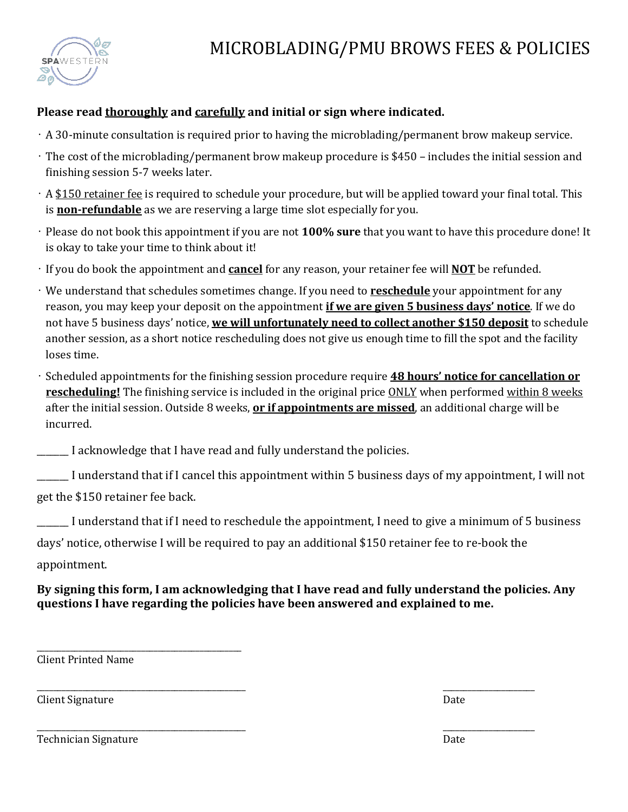

# **Please read thoroughly and carefully and initial or sign where indicated.**

- A 30-minute consultation is required prior to having the microblading/permanent brow makeup service.
- The cost of the microblading/permanent brow makeup procedure is \$450 includes the initial session and finishing session 5-7 weeks later.
- A \$150 retainer fee is required to schedule your procedure, but will be applied toward your final total. This is **non-refundable** as we are reserving a large time slot especially for you.
- Please do not book this appointment if you are not **100% sure** that you want to have this procedure done! It is okay to take your time to think about it!
- If you do book the appointment and **cancel** for any reason, your retainer fee will **NOT** be refunded.
- We understand that schedules sometimes change. If you need to **reschedule** your appointment for any reason, you may keep your deposit on the appointment **if we are given 5 business days' notice**. If we do not have 5 business days' notice, **we will unfortunately need to collect another \$150 deposit** to schedule another session, as a short notice rescheduling does not give us enough time to fill the spot and the facility loses time.
- Scheduled appointments for the finishing session procedure require **48 hours' notice for cancellation or rescheduling!** The finishing service is included in the original price ONLY when performed within 8 weeks after the initial session. Outside 8 weeks, **or if appointments are missed**, an additional charge will be incurred.

\_\_\_\_\_\_\_ I acknowledge that I have read and fully understand the policies.

I understand that if I cancel this appointment within 5 business days of my appointment, I will not

get the \$150 retainer fee back.

\_\_\_\_\_\_\_\_\_\_\_\_\_\_\_\_\_\_\_\_\_\_\_\_\_\_\_\_\_\_\_\_\_\_\_\_\_\_\_\_\_\_\_\_\_\_\_\_\_

I understand that if I need to reschedule the appointment, I need to give a minimum of 5 business

days' notice, otherwise I will be required to pay an additional \$150 retainer fee to re-book the

\_\_\_\_\_\_\_\_\_\_\_\_\_\_\_\_\_\_\_\_\_\_\_\_\_\_\_\_\_\_\_\_\_\_\_\_\_\_\_\_\_\_\_\_\_\_\_\_\_\_ \_\_\_\_\_\_\_\_\_\_\_\_\_\_\_\_\_\_\_\_\_\_

appointment.

# **By signing this form, I am acknowledging that I have read and fully understand the policies. Any questions I have regarding the policies have been answered and explained to me.**

Client Printed Name

Client Signature Date Date of the United States of the Date Date of the Date Date of the Date of the Date of the Date of the Date of the Date of the United States of the Date of the Date of the United States of the United

Technician Signature **Date** Date of the Date of the Date of the Date of the Date of the Date of the Date of the Date of the Date of the Date of the Date of the Date of the Date of the Date of the Date of the Date of the Da